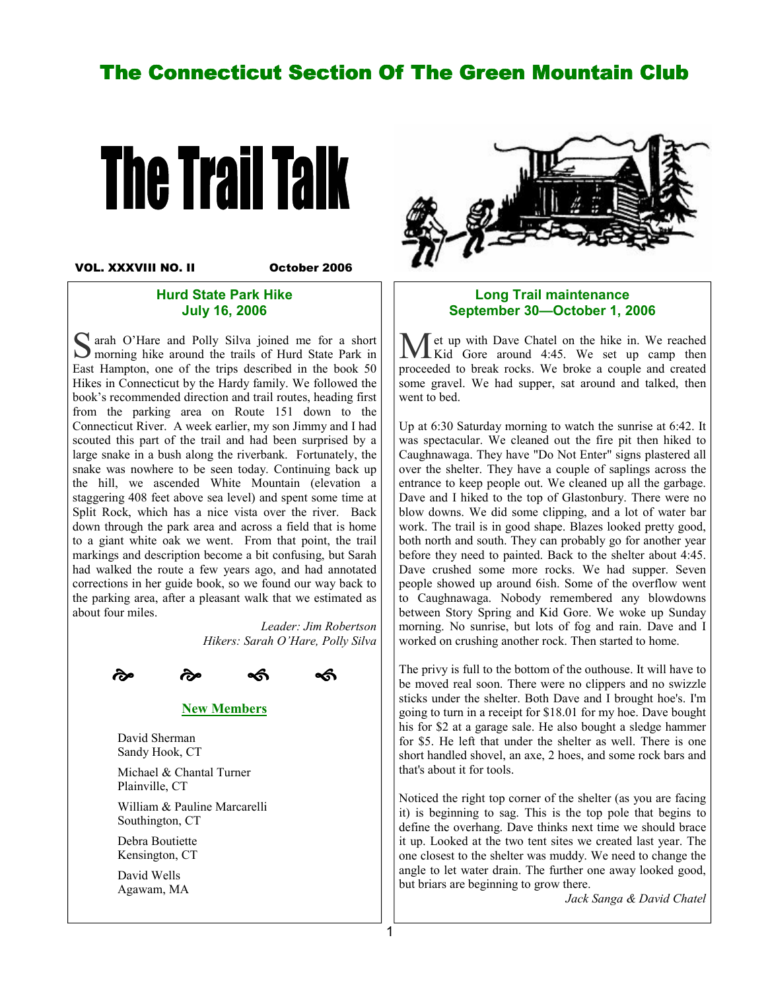# The Connecticut Section Of The Green Mountain Club



VOL. XXXVIII NO. II

October 2006

#### Hurd State Park Hike July 16, 2006

S arah O'Hare and Polly Silva joined me for a short S morning hike around the trails of Hurd State Park in East Hampton, one of the trips described in the book 50 Hikes in Connecticut by the Hardy family. We followed the book's recommended direction and trail routes, heading first from the parking area on Route 151 down to the Connecticut River. A week earlier, my son Jimmy and I had scouted this part of the trail and had been surprised by a large snake in a bush along the riverbank. Fortunately, the snake was nowhere to be seen today. Continuing back up the hill, we ascended White Mountain (elevation a staggering 408 feet above sea level) and spent some time at Split Rock, which has a nice vista over the river. Back down through the park area and across a field that is home to a giant white oak we went. From that point, the trail markings and description become a bit confusing, but Sarah had walked the route a few years ago, and had annotated corrections in her guide book, so we found our way back to the parking area, after a pleasant walk that we estimated as about four miles.

> Leader: Jim Robertson Hikers: Sarah O'Hare, Polly Silva





New Members

 David Sherman Sandy Hook, CT

 Michael & Chantal Turner Plainville, CT William & Pauline Marcarelli Southington, CT

 Debra Boutiette Kensington, CT

 David Wells Agawam, MA



#### Long Trail maintenance September 30—October 1, 2006

M et up with Dave Chatel on the hike in. We reached Kid Gore around 4:45. We set up camp then proceeded to break rocks. We broke a couple and created some gravel. We had supper, sat around and talked, then went to bed.

Up at 6:30 Saturday morning to watch the sunrise at 6:42. It was spectacular. We cleaned out the fire pit then hiked to Caughnawaga. They have "Do Not Enter" signs plastered all over the shelter. They have a couple of saplings across the entrance to keep people out. We cleaned up all the garbage. Dave and I hiked to the top of Glastonbury. There were no blow downs. We did some clipping, and a lot of water bar work. The trail is in good shape. Blazes looked pretty good, both north and south. They can probably go for another year before they need to painted. Back to the shelter about 4:45. Dave crushed some more rocks. We had supper. Seven people showed up around 6ish. Some of the overflow went to Caughnawaga. Nobody remembered any blowdowns between Story Spring and Kid Gore. We woke up Sunday morning. No sunrise, but lots of fog and rain. Dave and I worked on crushing another rock. Then started to home.

The privy is full to the bottom of the outhouse. It will have to be moved real soon. There were no clippers and no swizzle sticks under the shelter. Both Dave and I brought hoe's. I'm going to turn in a receipt for \$18.01 for my hoe. Dave bought his for \$2 at a garage sale. He also bought a sledge hammer for \$5. He left that under the shelter as well. There is one short handled shovel, an axe, 2 hoes, and some rock bars and that's about it for tools.

Noticed the right top corner of the shelter (as you are facing it) is beginning to sag. This is the top pole that begins to define the overhang. Dave thinks next time we should brace it up. Looked at the two tent sites we created last year. The one closest to the shelter was muddy. We need to change the angle to let water drain. The further one away looked good, but briars are beginning to grow there.

Jack Sanga & David Chatel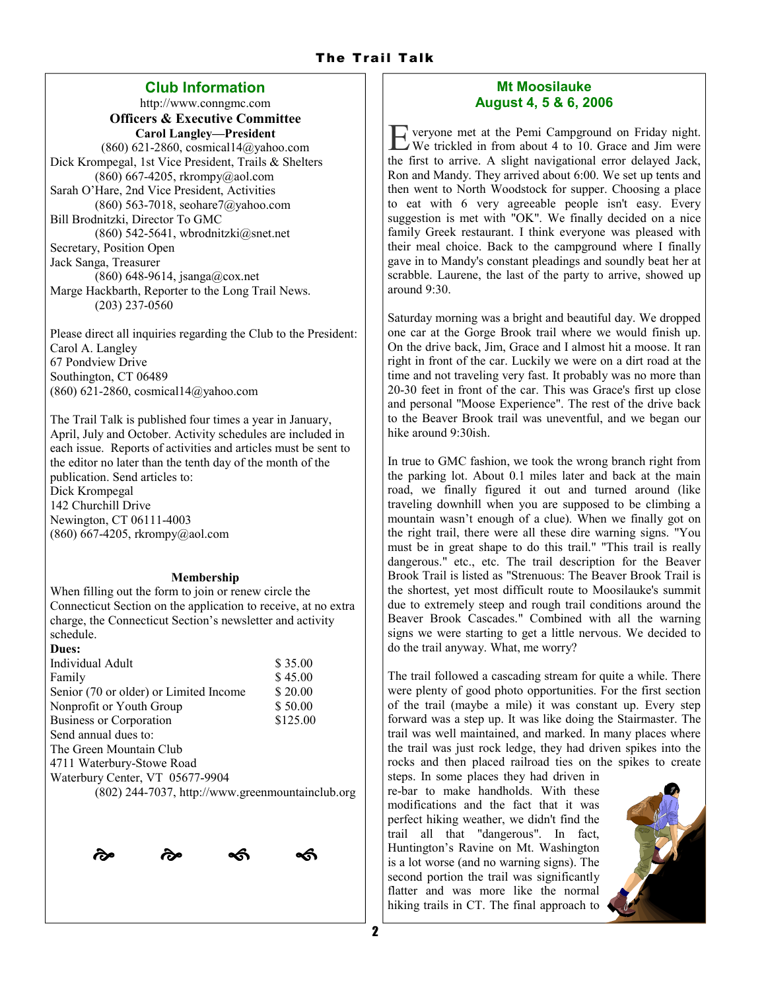# Club Information

http://www.conngmc.com Officers & Executive Committee Carol Langley—President (860) 621-2860, cosmical14@yahoo.com Dick Krompegal, 1st Vice President, Trails & Shelters  $(860)$  667-4205, rkrompy@aol.com Sarah O'Hare, 2nd Vice President, Activities (860) 563-7018, seohare7@yahoo.com Bill Brodnitzki, Director To GMC (860) 542-5641, wbrodnitzki $@$ snet.net Secretary, Position Open Jack Sanga, Treasurer (860) 648-9614, jsanga@cox.net Marge Hackbarth, Reporter to the Long Trail News. (203) 237-0560

Please direct all inquiries regarding the Club to the President: Carol A. Langley 67 Pondview Drive Southington, CT 06489 (860) 621-2860, cosmical14@yahoo.com

The Trail Talk is published four times a year in January, April, July and October. Activity schedules are included in each issue. Reports of activities and articles must be sent to the editor no later than the tenth day of the month of the publication. Send articles to: Dick Krompegal 142 Churchill Drive Newington, CT 06111-4003  $(860)$  667-4205, rkrompy@aol.com

#### Membership

When filling out the form to join or renew circle the Connecticut Section on the application to receive, at no extra charge, the Connecticut Section's newsletter and activity schedule.

| Dues:                                            |          |
|--------------------------------------------------|----------|
| Individual Adult                                 | \$35.00  |
| Family                                           | \$45.00  |
| Senior (70 or older) or Limited Income           | \$20.00  |
| Nonprofit or Youth Group                         | \$50.00  |
| <b>Business or Corporation</b>                   | \$125.00 |
| Send annual dues to:                             |          |
| The Green Mountain Club                          |          |
| 4711 Waterbury-Stowe Road                        |          |
| Waterbury Center, VT 05677-9904                  |          |
| (802) 244-7037, http://www.greenmountainclub.org |          |
|                                                  |          |



### Mt Moosilauke August 4, 5 & 6, 2006

E veryone met at the Pemi Campground on Friday night. We trickled in from about 4 to 10. Grace and Jim were the first to arrive. A slight navigational error delayed Jack, Ron and Mandy. They arrived about 6:00. We set up tents and then went to North Woodstock for supper. Choosing a place to eat with 6 very agreeable people isn't easy. Every suggestion is met with "OK". We finally decided on a nice family Greek restaurant. I think everyone was pleased with their meal choice. Back to the campground where I finally gave in to Mandy's constant pleadings and soundly beat her at scrabble. Laurene, the last of the party to arrive, showed up around 9:30.

Saturday morning was a bright and beautiful day. We dropped one car at the Gorge Brook trail where we would finish up. On the drive back, Jim, Grace and I almost hit a moose. It ran right in front of the car. Luckily we were on a dirt road at the time and not traveling very fast. It probably was no more than 20-30 feet in front of the car. This was Grace's first up close and personal "Moose Experience". The rest of the drive back to the Beaver Brook trail was uneventful, and we began our hike around 9:30ish.

In true to GMC fashion, we took the wrong branch right from the parking lot. About 0.1 miles later and back at the main road, we finally figured it out and turned around (like traveling downhill when you are supposed to be climbing a mountain wasn't enough of a clue). When we finally got on the right trail, there were all these dire warning signs. "You must be in great shape to do this trail." "This trail is really dangerous." etc., etc. The trail description for the Beaver Brook Trail is listed as "Strenuous: The Beaver Brook Trail is the shortest, yet most difficult route to Moosilauke's summit due to extremely steep and rough trail conditions around the Beaver Brook Cascades." Combined with all the warning signs we were starting to get a little nervous. We decided to do the trail anyway. What, me worry?

The trail followed a cascading stream for quite a while. There were plenty of good photo opportunities. For the first section of the trail (maybe a mile) it was constant up. Every step forward was a step up. It was like doing the Stairmaster. The trail was well maintained, and marked. In many places where the trail was just rock ledge, they had driven spikes into the rocks and then placed railroad ties on the spikes to create

steps. In some places they had driven in re-bar to make handholds. With these modifications and the fact that it was perfect hiking weather, we didn't find the trail all that "dangerous". In fact, Huntington's Ravine on Mt. Washington is a lot worse (and no warning signs). The second portion the trail was significantly flatter and was more like the normal hiking trails in CT. The final approach to

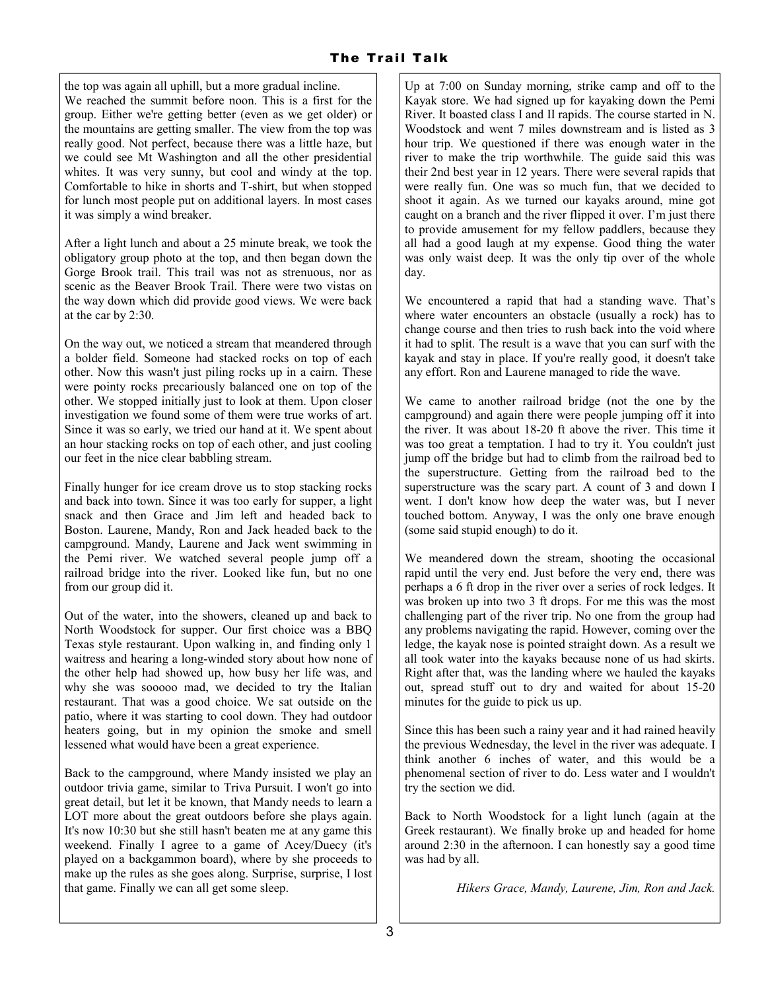the top was again all uphill, but a more gradual incline. We reached the summit before noon. This is a first for the group. Either we're getting better (even as we get older) or the mountains are getting smaller. The view from the top was really good. Not perfect, because there was a little haze, but we could see Mt Washington and all the other presidential whites. It was very sunny, but cool and windy at the top. Comfortable to hike in shorts and T-shirt, but when stopped for lunch most people put on additional layers. In most cases it was simply a wind breaker.

After a light lunch and about a 25 minute break, we took the obligatory group photo at the top, and then began down the Gorge Brook trail. This trail was not as strenuous, nor as scenic as the Beaver Brook Trail. There were two vistas on the way down which did provide good views. We were back at the car by 2:30.

On the way out, we noticed a stream that meandered through a bolder field. Someone had stacked rocks on top of each other. Now this wasn't just piling rocks up in a cairn. These were pointy rocks precariously balanced one on top of the other. We stopped initially just to look at them. Upon closer investigation we found some of them were true works of art. Since it was so early, we tried our hand at it. We spent about an hour stacking rocks on top of each other, and just cooling our feet in the nice clear babbling stream.

Finally hunger for ice cream drove us to stop stacking rocks and back into town. Since it was too early for supper, a light snack and then Grace and Jim left and headed back to Boston. Laurene, Mandy, Ron and Jack headed back to the campground. Mandy, Laurene and Jack went swimming in the Pemi river. We watched several people jump off a railroad bridge into the river. Looked like fun, but no one from our group did it.

Out of the water, into the showers, cleaned up and back to North Woodstock for supper. Our first choice was a BBQ Texas style restaurant. Upon walking in, and finding only 1 waitress and hearing a long-winded story about how none of the other help had showed up, how busy her life was, and why she was sooooo mad, we decided to try the Italian restaurant. That was a good choice. We sat outside on the patio, where it was starting to cool down. They had outdoor heaters going, but in my opinion the smoke and smell lessened what would have been a great experience.

Back to the campground, where Mandy insisted we play an outdoor trivia game, similar to Triva Pursuit. I won't go into great detail, but let it be known, that Mandy needs to learn a LOT more about the great outdoors before she plays again. It's now 10:30 but she still hasn't beaten me at any game this weekend. Finally I agree to a game of Acey/Duecy (it's played on a backgammon board), where by she proceeds to make up the rules as she goes along. Surprise, surprise, I lost that game. Finally we can all get some sleep.

Up at 7:00 on Sunday morning, strike camp and off to the Kayak store. We had signed up for kayaking down the Pemi River. It boasted class I and II rapids. The course started in N. Woodstock and went 7 miles downstream and is listed as 3 hour trip. We questioned if there was enough water in the river to make the trip worthwhile. The guide said this was their 2nd best year in 12 years. There were several rapids that were really fun. One was so much fun, that we decided to shoot it again. As we turned our kayaks around, mine got caught on a branch and the river flipped it over. I'm just there to provide amusement for my fellow paddlers, because they all had a good laugh at my expense. Good thing the water was only waist deep. It was the only tip over of the whole day.

We encountered a rapid that had a standing wave. That's where water encounters an obstacle (usually a rock) has to change course and then tries to rush back into the void where it had to split. The result is a wave that you can surf with the kayak and stay in place. If you're really good, it doesn't take any effort. Ron and Laurene managed to ride the wave.

We came to another railroad bridge (not the one by the campground) and again there were people jumping off it into the river. It was about 18-20 ft above the river. This time it was too great a temptation. I had to try it. You couldn't just jump off the bridge but had to climb from the railroad bed to the superstructure. Getting from the railroad bed to the superstructure was the scary part. A count of 3 and down I went. I don't know how deep the water was, but I never touched bottom. Anyway, I was the only one brave enough (some said stupid enough) to do it.

We meandered down the stream, shooting the occasional rapid until the very end. Just before the very end, there was perhaps a 6 ft drop in the river over a series of rock ledges. It was broken up into two 3 ft drops. For me this was the most challenging part of the river trip. No one from the group had any problems navigating the rapid. However, coming over the ledge, the kayak nose is pointed straight down. As a result we all took water into the kayaks because none of us had skirts. Right after that, was the landing where we hauled the kayaks out, spread stuff out to dry and waited for about 15-20 minutes for the guide to pick us up.

Since this has been such a rainy year and it had rained heavily the previous Wednesday, the level in the river was adequate. I think another 6 inches of water, and this would be a phenomenal section of river to do. Less water and I wouldn't try the section we did.

Back to North Woodstock for a light lunch (again at the Greek restaurant). We finally broke up and headed for home around 2:30 in the afternoon. I can honestly say a good time was had by all.

Hikers Grace, Mandy, Laurene, Jim, Ron and Jack.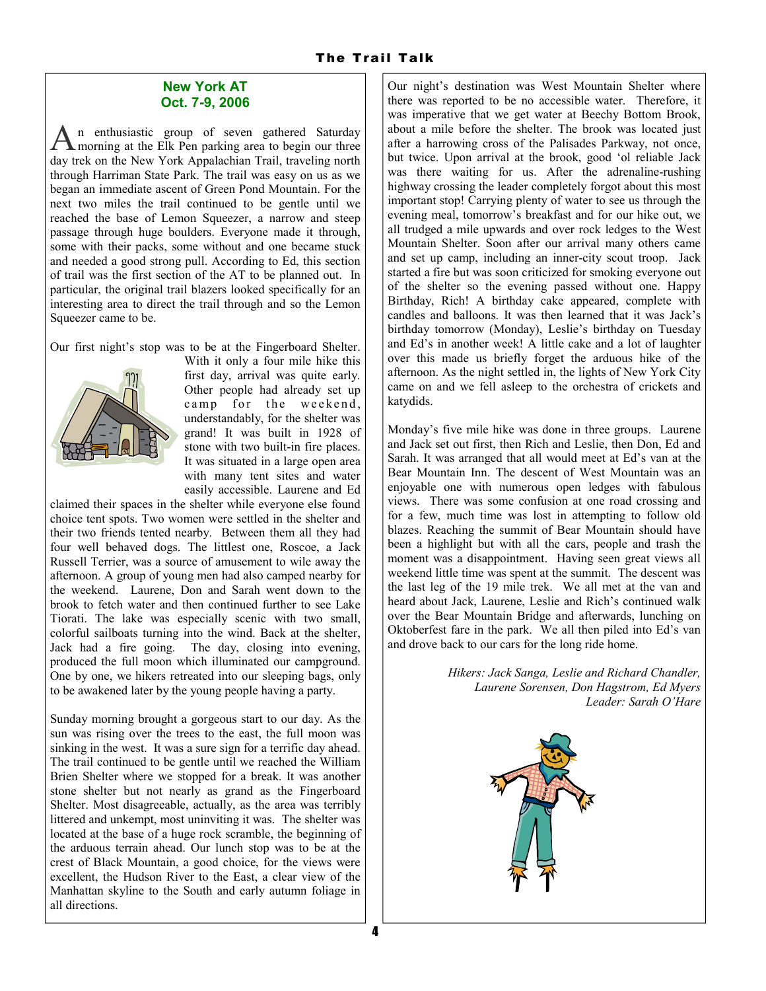#### New York AT Oct. 7-9, 2006

A n enthusiastic group of seven gathered Saturday morning at the Elk Pen parking area to begin our three day trek on the New York Appalachian Trail, traveling north through Harriman State Park. The trail was easy on us as we began an immediate ascent of Green Pond Mountain. For the next two miles the trail continued to be gentle until we reached the base of Lemon Squeezer, a narrow and steep passage through huge boulders. Everyone made it through, some with their packs, some without and one became stuck and needed a good strong pull. According to Ed, this section of trail was the first section of the AT to be planned out. In particular, the original trail blazers looked specifically for an interesting area to direct the trail through and so the Lemon Squeezer came to be.

Our first night's stop was to be at the Fingerboard Shelter.



With it only a four mile hike this first day, arrival was quite early. Other people had already set up camp for the weekend, understandably, for the shelter was grand! It was built in 1928 of stone with two built-in fire places. It was situated in a large open area with many tent sites and water easily accessible. Laurene and Ed

claimed their spaces in the shelter while everyone else found choice tent spots. Two women were settled in the shelter and their two friends tented nearby. Between them all they had four well behaved dogs. The littlest one, Roscoe, a Jack Russell Terrier, was a source of amusement to wile away the afternoon. A group of young men had also camped nearby for the weekend. Laurene, Don and Sarah went down to the brook to fetch water and then continued further to see Lake Tiorati. The lake was especially scenic with two small, colorful sailboats turning into the wind. Back at the shelter, Jack had a fire going. The day, closing into evening, produced the full moon which illuminated our campground. One by one, we hikers retreated into our sleeping bags, only to be awakened later by the young people having a party.

Sunday morning brought a gorgeous start to our day. As the sun was rising over the trees to the east, the full moon was sinking in the west. It was a sure sign for a terrific day ahead. The trail continued to be gentle until we reached the William Brien Shelter where we stopped for a break. It was another stone shelter but not nearly as grand as the Fingerboard Shelter. Most disagreeable, actually, as the area was terribly littered and unkempt, most uninviting it was. The shelter was located at the base of a huge rock scramble, the beginning of the arduous terrain ahead. Our lunch stop was to be at the crest of Black Mountain, a good choice, for the views were excellent, the Hudson River to the East, a clear view of the Manhattan skyline to the South and early autumn foliage in all directions.

Our night's destination was West Mountain Shelter where there was reported to be no accessible water. Therefore, it was imperative that we get water at Beechy Bottom Brook, about a mile before the shelter. The brook was located just after a harrowing cross of the Palisades Parkway, not once, but twice. Upon arrival at the brook, good 'ol reliable Jack was there waiting for us. After the adrenaline-rushing highway crossing the leader completely forgot about this most important stop! Carrying plenty of water to see us through the evening meal, tomorrow's breakfast and for our hike out, we all trudged a mile upwards and over rock ledges to the West Mountain Shelter. Soon after our arrival many others came and set up camp, including an inner-city scout troop. Jack started a fire but was soon criticized for smoking everyone out of the shelter so the evening passed without one. Happy Birthday, Rich! A birthday cake appeared, complete with candles and balloons. It was then learned that it was Jack's birthday tomorrow (Monday), Leslie's birthday on Tuesday and Ed's in another week! A little cake and a lot of laughter over this made us briefly forget the arduous hike of the afternoon. As the night settled in, the lights of New York City came on and we fell asleep to the orchestra of crickets and katydids.

Monday's five mile hike was done in three groups. Laurene and Jack set out first, then Rich and Leslie, then Don, Ed and Sarah. It was arranged that all would meet at Ed's van at the Bear Mountain Inn. The descent of West Mountain was an enjoyable one with numerous open ledges with fabulous views. There was some confusion at one road crossing and for a few, much time was lost in attempting to follow old blazes. Reaching the summit of Bear Mountain should have been a highlight but with all the cars, people and trash the moment was a disappointment. Having seen great views all weekend little time was spent at the summit. The descent was the last leg of the 19 mile trek. We all met at the van and heard about Jack, Laurene, Leslie and Rich's continued walk over the Bear Mountain Bridge and afterwards, lunching on Oktoberfest fare in the park. We all then piled into Ed's van and drove back to our cars for the long ride home.

> Hikers: Jack Sanga, Leslie and Richard Chandler, Laurene Sorensen, Don Hagstrom, Ed Myers Leader: Sarah O'Hare

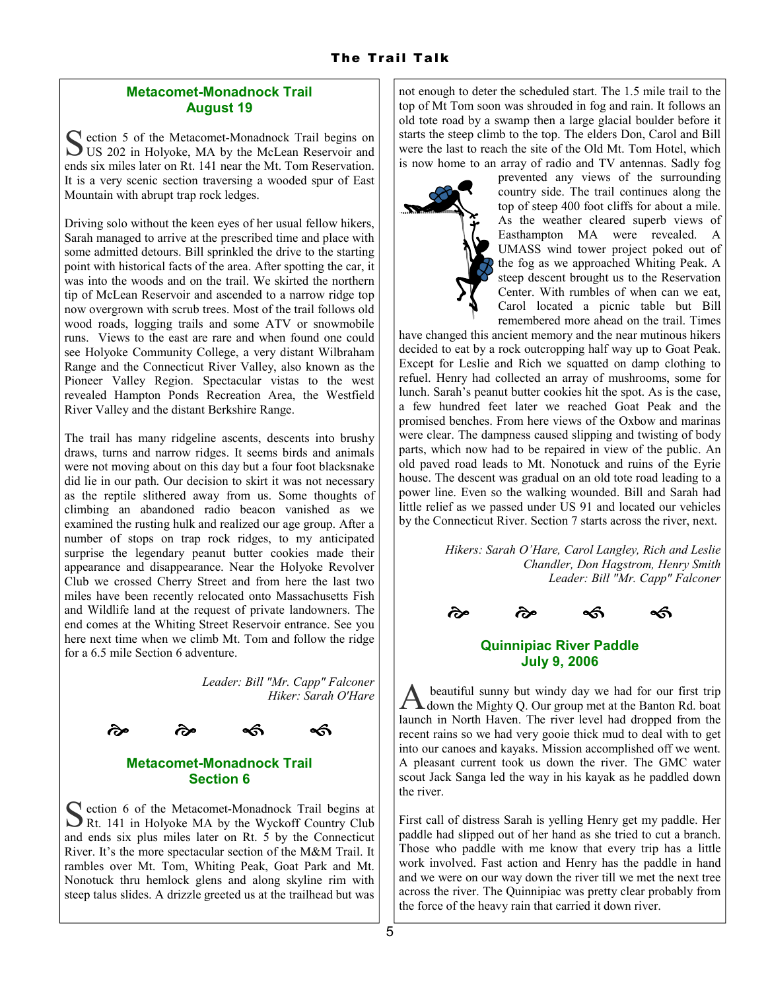## Metacomet-Monadnock Trail August 19

S ection 5 of the Metacomet-Monadnock Trail begins on US 202 in Holyoke, MA by the McLean Reservoir and ends six miles later on Rt. 141 near the Mt. Tom Reservation. It is a very scenic section traversing a wooded spur of East Mountain with abrupt trap rock ledges.

Driving solo without the keen eyes of her usual fellow hikers, Sarah managed to arrive at the prescribed time and place with some admitted detours. Bill sprinkled the drive to the starting point with historical facts of the area. After spotting the car, it was into the woods and on the trail. We skirted the northern tip of McLean Reservoir and ascended to a narrow ridge top now overgrown with scrub trees. Most of the trail follows old wood roads, logging trails and some ATV or snowmobile runs. Views to the east are rare and when found one could see Holyoke Community College, a very distant Wilbraham Range and the Connecticut River Valley, also known as the Pioneer Valley Region. Spectacular vistas to the west revealed Hampton Ponds Recreation Area, the Westfield River Valley and the distant Berkshire Range.

The trail has many ridgeline ascents, descents into brushy draws, turns and narrow ridges. It seems birds and animals were not moving about on this day but a four foot blacksnake did lie in our path. Our decision to skirt it was not necessary as the reptile slithered away from us. Some thoughts of climbing an abandoned radio beacon vanished as we examined the rusting hulk and realized our age group. After a number of stops on trap rock ridges, to my anticipated surprise the legendary peanut butter cookies made their appearance and disappearance. Near the Holyoke Revolver Club we crossed Cherry Street and from here the last two miles have been recently relocated onto Massachusetts Fish and Wildlife land at the request of private landowners. The end comes at the Whiting Street Reservoir entrance. See you here next time when we climb Mt. Tom and follow the ridge for a 6.5 mile Section 6 adventure.

> Leader: Bill "Mr. Capp" Falconer Hiker: Sarah O'Hare



### Metacomet-Monadnock Trail Section 6

S ection 6 of the Metacomet-Monadnock Trail begins at Rt. 141 in Holyoke MA by the Wyckoff Country Club and ends six plus miles later on Rt. 5 by the Connecticut River. It's the more spectacular section of the M&M Trail. It rambles over Mt. Tom, Whiting Peak, Goat Park and Mt. Nonotuck thru hemlock glens and along skyline rim with steep talus slides. A drizzle greeted us at the trailhead but was

not enough to deter the scheduled start. The 1.5 mile trail to the top of Mt Tom soon was shrouded in fog and rain. It follows an old tote road by a swamp then a large glacial boulder before it starts the steep climb to the top. The elders Don, Carol and Bill were the last to reach the site of the Old Mt. Tom Hotel, which is now home to an array of radio and TV antennas. Sadly fog



prevented any views of the surrounding country side. The trail continues along the top of steep 400 foot cliffs for about a mile. As the weather cleared superb views of Easthampton MA were revealed. A UMASS wind tower project poked out of the fog as we approached Whiting Peak. A steep descent brought us to the Reservation Center. With rumbles of when can we eat, Carol located a picnic table but Bill remembered more ahead on the trail. Times

have changed this ancient memory and the near mutinous hikers decided to eat by a rock outcropping half way up to Goat Peak. Except for Leslie and Rich we squatted on damp clothing to refuel. Henry had collected an array of mushrooms, some for lunch. Sarah's peanut butter cookies hit the spot. As is the case, a few hundred feet later we reached Goat Peak and the promised benches. From here views of the Oxbow and marinas were clear. The dampness caused slipping and twisting of body parts, which now had to be repaired in view of the public. An old paved road leads to Mt. Nonotuck and ruins of the Eyrie house. The descent was gradual on an old tote road leading to a power line. Even so the walking wounded. Bill and Sarah had little relief as we passed under US 91 and located our vehicles by the Connecticut River. Section 7 starts across the river, next.

> Hikers: Sarah O'Hare, Carol Langley, Rich and Leslie Chandler, Don Hagstrom, Henry Smith Leader: Bill "Mr. Capp" Falconer



# Quinnipiac River Paddle July 9, 2006

A beautiful sunny but windy day we had for our first trip down the Mighty Q. Our group met at the Banton Rd. boat launch in North Haven. The river level had dropped from the recent rains so we had very gooie thick mud to deal with to get into our canoes and kayaks. Mission accomplished off we went. A pleasant current took us down the river. The GMC water scout Jack Sanga led the way in his kayak as he paddled down the river.

First call of distress Sarah is yelling Henry get my paddle. Her paddle had slipped out of her hand as she tried to cut a branch. Those who paddle with me know that every trip has a little work involved. Fast action and Henry has the paddle in hand and we were on our way down the river till we met the next tree across the river. The Quinnipiac was pretty clear probably from the force of the heavy rain that carried it down river.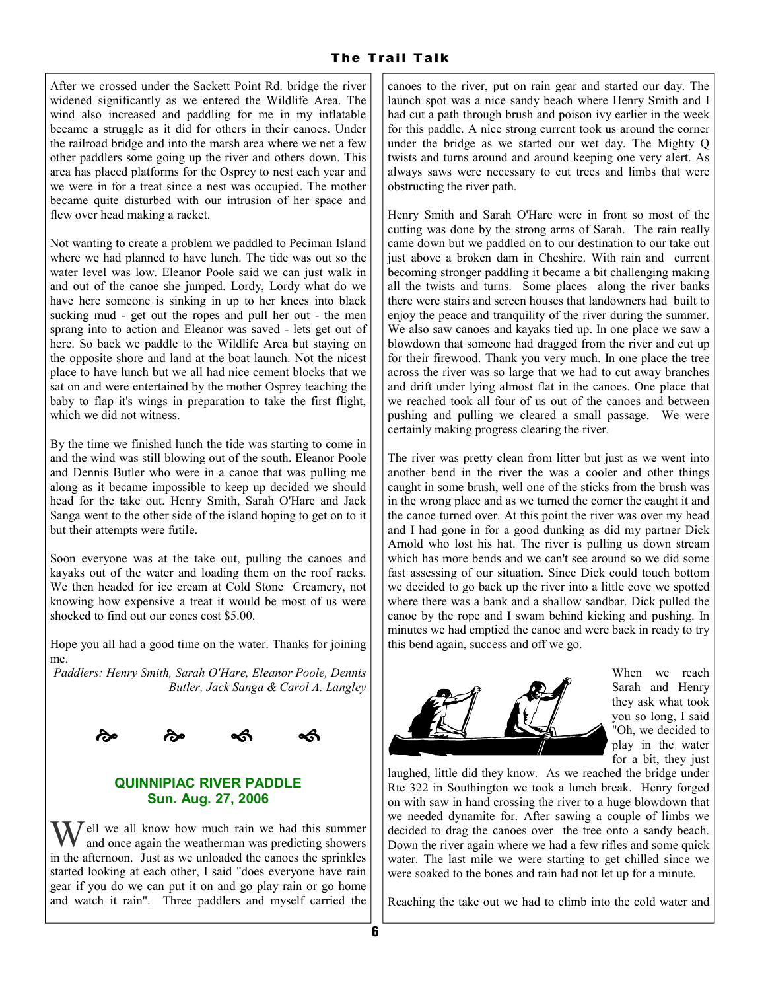After we crossed under the Sackett Point Rd. bridge the river widened significantly as we entered the Wildlife Area. The wind also increased and paddling for me in my inflatable became a struggle as it did for others in their canoes. Under the railroad bridge and into the marsh area where we net a few other paddlers some going up the river and others down. This area has placed platforms for the Osprey to nest each year and we were in for a treat since a nest was occupied. The mother became quite disturbed with our intrusion of her space and flew over head making a racket.

Not wanting to create a problem we paddled to Peciman Island where we had planned to have lunch. The tide was out so the water level was low. Eleanor Poole said we can just walk in and out of the canoe she jumped. Lordy, Lordy what do we have here someone is sinking in up to her knees into black sucking mud - get out the ropes and pull her out - the men sprang into to action and Eleanor was saved - lets get out of here. So back we paddle to the Wildlife Area but staying on the opposite shore and land at the boat launch. Not the nicest place to have lunch but we all had nice cement blocks that we sat on and were entertained by the mother Osprey teaching the baby to flap it's wings in preparation to take the first flight, which we did not witness.

By the time we finished lunch the tide was starting to come in and the wind was still blowing out of the south. Eleanor Poole and Dennis Butler who were in a canoe that was pulling me along as it became impossible to keep up decided we should head for the take out. Henry Smith, Sarah O'Hare and Jack Sanga went to the other side of the island hoping to get on to it but their attempts were futile.

Soon everyone was at the take out, pulling the canoes and kayaks out of the water and loading them on the roof racks. We then headed for ice cream at Cold Stone Creamery, not knowing how expensive a treat it would be most of us were shocked to find out our cones cost \$5.00.

Hope you all had a good time on the water. Thanks for joining me.

Paddlers: Henry Smith, Sarah O'Hare, Eleanor Poole, Dennis Butler, Jack Sanga & Carol A. Langley



### QUINNIPIAC RIVER PADDLE Sun. Aug. 27, 2006

Well we all know how much rain we had this summer and once again the weatherman was predicting showers in the afternoon. Just as we unloaded the canoes the sprinkles started looking at each other, I said "does everyone have rain gear if you do we can put it on and go play rain or go home and watch it rain". Three paddlers and myself carried the

canoes to the river, put on rain gear and started our day. The launch spot was a nice sandy beach where Henry Smith and I had cut a path through brush and poison ivy earlier in the week for this paddle. A nice strong current took us around the corner under the bridge as we started our wet day. The Mighty Q twists and turns around and around keeping one very alert. As always saws were necessary to cut trees and limbs that were obstructing the river path.

Henry Smith and Sarah O'Hare were in front so most of the cutting was done by the strong arms of Sarah. The rain really came down but we paddled on to our destination to our take out just above a broken dam in Cheshire. With rain and current becoming stronger paddling it became a bit challenging making all the twists and turns. Some places along the river banks there were stairs and screen houses that landowners had built to enjoy the peace and tranquility of the river during the summer. We also saw canoes and kayaks tied up. In one place we saw a blowdown that someone had dragged from the river and cut up for their firewood. Thank you very much. In one place the tree across the river was so large that we had to cut away branches and drift under lying almost flat in the canoes. One place that we reached took all four of us out of the canoes and between pushing and pulling we cleared a small passage. We were certainly making progress clearing the river.

The river was pretty clean from litter but just as we went into another bend in the river the was a cooler and other things caught in some brush, well one of the sticks from the brush was in the wrong place and as we turned the corner the caught it and the canoe turned over. At this point the river was over my head and I had gone in for a good dunking as did my partner Dick Arnold who lost his hat. The river is pulling us down stream which has more bends and we can't see around so we did some fast assessing of our situation. Since Dick could touch bottom we decided to go back up the river into a little cove we spotted where there was a bank and a shallow sandbar. Dick pulled the canoe by the rope and I swam behind kicking and pushing. In minutes we had emptied the canoe and were back in ready to try this bend again, success and off we go.



When we reach Sarah and Henry they ask what took you so long, I said "Oh, we decided to play in the water for a bit, they just

laughed, little did they know. As we reached the bridge under Rte 322 in Southington we took a lunch break. Henry forged on with saw in hand crossing the river to a huge blowdown that we needed dynamite for. After sawing a couple of limbs we decided to drag the canoes over the tree onto a sandy beach. Down the river again where we had a few rifles and some quick water. The last mile we were starting to get chilled since we were soaked to the bones and rain had not let up for a minute.

Reaching the take out we had to climb into the cold water and